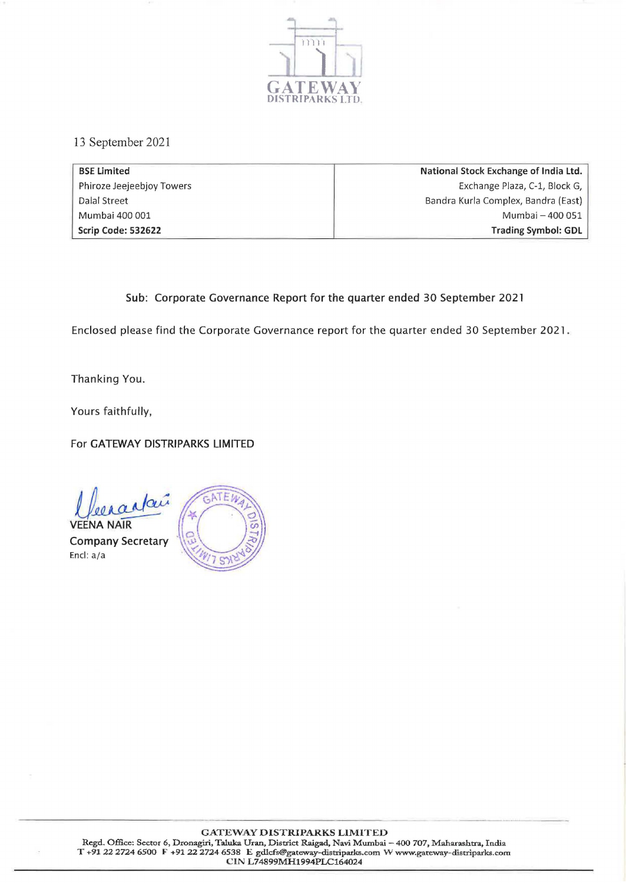

13 September 2021

| <b>BSE Limited</b>        | National Stock Exchange of India Ltd. |
|---------------------------|---------------------------------------|
| Phiroze Jeejeebjoy Towers | Exchange Plaza, C-1, Block G,         |
| Dalal Street              | Bandra Kurla Complex, Bandra (East)   |
| Mumbai 400 001            | Mumbai - 400 051                      |
| Scrip Code: 532622        | Trading Symbol: GDL                   |

## Sub: Corporate Governance Report for the quarter ended 30 September 2021

Enclosed please find the Corporate Governance report for the quarter ended 30 September 2021.

Thanking You.

Yours faithfully,

For GATEWAY DISTRIPARKS LIMITED

Meradai ( F)

**VEENA NAIR** Company Secretary Encl: a/a

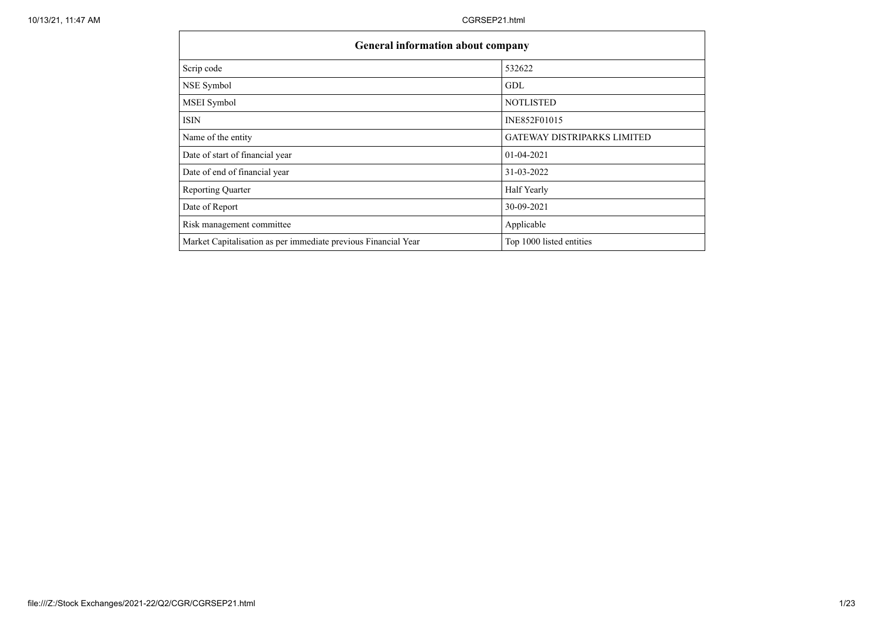| <b>General information about company</b>                       |                                    |
|----------------------------------------------------------------|------------------------------------|
| Scrip code                                                     | 532622                             |
| NSE Symbol                                                     | GDL                                |
| <b>MSEI</b> Symbol                                             | <b>NOTLISTED</b>                   |
| <b>ISIN</b>                                                    | INE852F01015                       |
| Name of the entity                                             | <b>GATEWAY DISTRIPARKS LIMITED</b> |
| Date of start of financial year                                | $01-04-2021$                       |
| Date of end of financial year                                  | 31-03-2022                         |
| <b>Reporting Quarter</b>                                       | Half Yearly                        |
| Date of Report                                                 | 30-09-2021                         |
| Risk management committee                                      | Applicable                         |
| Market Capitalisation as per immediate previous Financial Year | Top 1000 listed entities           |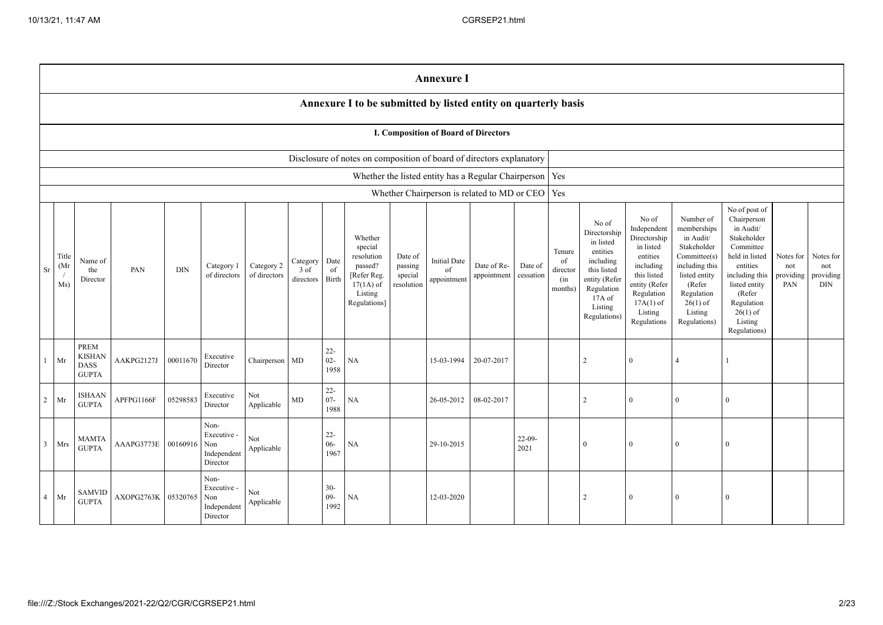|                                                                                                                                                                                                                                                                                                                                                                                                                                     |                                                                | <b>Annexure I</b>                                    |            |          |                                                       |                      |                                            |                                                                                                                                                |                                                                                                                                                                   |                                                                                                                                                                          |                                                                                                                                                                                                         |                                                     |                                             |     |               |              |              |          |  |  |
|-------------------------------------------------------------------------------------------------------------------------------------------------------------------------------------------------------------------------------------------------------------------------------------------------------------------------------------------------------------------------------------------------------------------------------------|----------------------------------------------------------------|------------------------------------------------------|------------|----------|-------------------------------------------------------|----------------------|--------------------------------------------|------------------------------------------------------------------------------------------------------------------------------------------------|-------------------------------------------------------------------------------------------------------------------------------------------------------------------|--------------------------------------------------------------------------------------------------------------------------------------------------------------------------|---------------------------------------------------------------------------------------------------------------------------------------------------------------------------------------------------------|-----------------------------------------------------|---------------------------------------------|-----|---------------|--------------|--------------|----------|--|--|
|                                                                                                                                                                                                                                                                                                                                                                                                                                     | Annexure I to be submitted by listed entity on quarterly basis |                                                      |            |          |                                                       |                      |                                            |                                                                                                                                                |                                                                                                                                                                   |                                                                                                                                                                          |                                                                                                                                                                                                         |                                                     |                                             |     |               |              |              |          |  |  |
|                                                                                                                                                                                                                                                                                                                                                                                                                                     |                                                                |                                                      |            |          |                                                       |                      |                                            |                                                                                                                                                |                                                                                                                                                                   |                                                                                                                                                                          | I. Composition of Board of Directors                                                                                                                                                                    |                                                     |                                             |     |               |              |              |          |  |  |
|                                                                                                                                                                                                                                                                                                                                                                                                                                     |                                                                |                                                      |            |          |                                                       |                      |                                            |                                                                                                                                                | Disclosure of notes on composition of board of directors explanatory                                                                                              |                                                                                                                                                                          |                                                                                                                                                                                                         |                                                     |                                             |     |               |              |              |          |  |  |
|                                                                                                                                                                                                                                                                                                                                                                                                                                     |                                                                |                                                      |            |          |                                                       |                      |                                            |                                                                                                                                                |                                                                                                                                                                   |                                                                                                                                                                          |                                                                                                                                                                                                         | Whether the listed entity has a Regular Chairperson |                                             | Yes |               |              |              |          |  |  |
|                                                                                                                                                                                                                                                                                                                                                                                                                                     |                                                                |                                                      |            |          |                                                       |                      |                                            |                                                                                                                                                |                                                                                                                                                                   |                                                                                                                                                                          |                                                                                                                                                                                                         | Whether Chairperson is related to MD or CEO         |                                             | Yes |               |              |              |          |  |  |
| Whether<br>special<br>Title<br>resolution<br>Date of<br>Date<br><b>Initial Date</b><br>Name of<br>Category<br>(Mr<br>Category 2<br>passed?<br>passing<br>Date of Re-<br>Category 1<br>Sr<br>PAN<br><b>DIN</b><br>$3$ of<br>of<br>of<br>the<br>of directors<br>of directors<br>[Refer Reg.<br>special<br>appointment<br>Birth<br>appointment<br>directors<br>Director<br>Ms)<br>$17(1A)$ of<br>resolution<br>Listing<br>Regulations] |                                                                |                                                      |            |          |                                                       | Date of<br>cessation | Tenure<br>of<br>director<br>(in<br>months) | No of<br>Directorship<br>in listed<br>entities<br>including<br>this listed<br>entity (Refer<br>Regulation<br>17A of<br>Listing<br>Regulations) | No of<br>Independent<br>Directorship<br>in listed<br>entities<br>including<br>this listed<br>entity (Refer<br>Regulation<br>$17A(1)$ of<br>Listing<br>Regulations | Number of<br>memberships<br>in Audit/<br>Stakeholder<br>Committee(s)<br>including this<br>listed entity<br>(Refer<br>Regulation<br>$26(1)$ of<br>Listing<br>Regulations) | No of post of<br>Chairperson<br>in Audit/<br>Stakeholder<br>Committee<br>held in listed<br>entities<br>including this<br>listed entity<br>(Refer<br>Regulation<br>$26(1)$ of<br>Listing<br>Regulations) | Notes for<br>not<br>providing<br>PAN                | Notes for<br>not<br>providing<br><b>DIN</b> |     |               |              |              |          |  |  |
| $\mathbf{1}$                                                                                                                                                                                                                                                                                                                                                                                                                        | Mr                                                             | <b>PREM</b><br><b>KISHAN</b><br>DASS<br><b>GUPTA</b> | AAKPG2127J | 00011670 | Executive<br>Director                                 | Chairperson MD       |                                            | $22 -$<br>$02 -$<br>1958                                                                                                                       | NA                                                                                                                                                                |                                                                                                                                                                          | 15-03-1994                                                                                                                                                                                              | 20-07-2017                                          |                                             |     | 2             | $\Omega$     | 4            |          |  |  |
| $\overline{2}$                                                                                                                                                                                                                                                                                                                                                                                                                      | Mr                                                             | ISHAAN<br><b>GUPTA</b>                               | APFPG1166F | 05298583 | Executive<br>Director                                 | Not<br>Applicable    | MD                                         | $22 -$<br>$07 -$<br>1988                                                                                                                       | NA                                                                                                                                                                |                                                                                                                                                                          | 26-05-2012                                                                                                                                                                                              | 08-02-2017                                          |                                             |     | $\mathcal{L}$ | $\Omega$     | $\theta$     |          |  |  |
| $\overline{3}$                                                                                                                                                                                                                                                                                                                                                                                                                      | Mrs                                                            | <b>MAMTA</b><br><b>GUPTA</b>                         | AAAPG3773E | 00160916 | Non-<br>Executive -<br>Non<br>Independent<br>Director | Not<br>Applicable    |                                            | $22 -$<br>$06 -$<br>1967                                                                                                                       | NA                                                                                                                                                                |                                                                                                                                                                          | 29-10-2015                                                                                                                                                                                              |                                                     | $22-09$<br>2021                             |     | $\Omega$      | $\Omega$     | $\theta$     |          |  |  |
| $\overline{4}$                                                                                                                                                                                                                                                                                                                                                                                                                      | Mr                                                             | <b>SAMVID</b><br><b>GUPTA</b>                        | AXOPG2763K | 05320765 | Non-<br>Executive -<br>Non<br>Independent<br>Director | Not<br>Applicable    |                                            | $30-$<br>$09 -$<br>1992                                                                                                                        | NA                                                                                                                                                                |                                                                                                                                                                          | 12-03-2020                                                                                                                                                                                              |                                                     |                                             |     | 2             | $\mathbf{0}$ | $\mathbf{0}$ | $\Omega$ |  |  |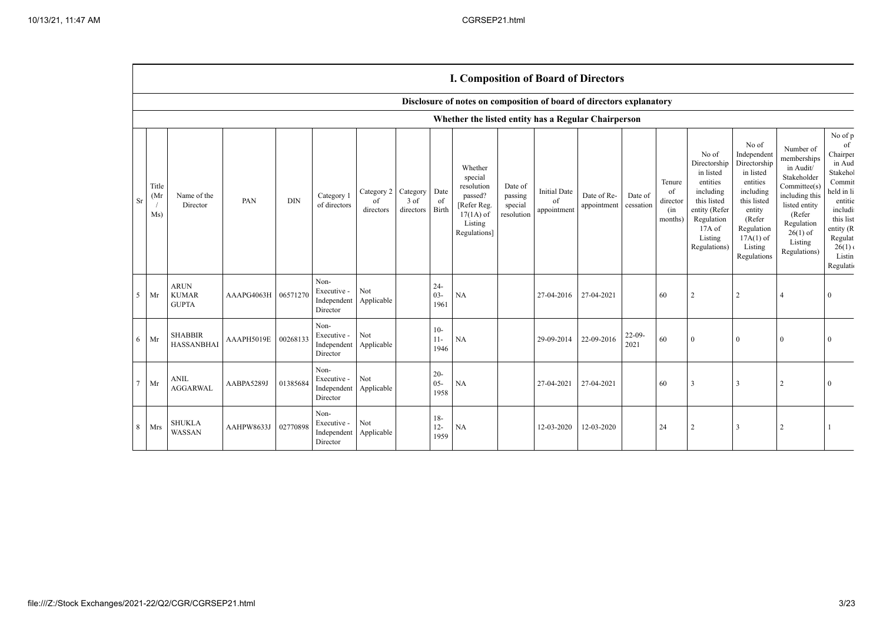|                |                      |                                             |                     |            |                                                           |                               |                               |                          | <b>1. Composition of Board of Directors</b>                                                          |                                             |                                          |                            |                      |                                            |                                                                                                                                                |                                                                                                                                                                      |                                                                                                                                                                          |                                                                                                                                                                    |
|----------------|----------------------|---------------------------------------------|---------------------|------------|-----------------------------------------------------------|-------------------------------|-------------------------------|--------------------------|------------------------------------------------------------------------------------------------------|---------------------------------------------|------------------------------------------|----------------------------|----------------------|--------------------------------------------|------------------------------------------------------------------------------------------------------------------------------------------------|----------------------------------------------------------------------------------------------------------------------------------------------------------------------|--------------------------------------------------------------------------------------------------------------------------------------------------------------------------|--------------------------------------------------------------------------------------------------------------------------------------------------------------------|
|                |                      |                                             |                     |            |                                                           |                               |                               |                          | Disclosure of notes on composition of board of directors explanatory                                 |                                             |                                          |                            |                      |                                            |                                                                                                                                                |                                                                                                                                                                      |                                                                                                                                                                          |                                                                                                                                                                    |
|                |                      |                                             |                     |            |                                                           |                               |                               |                          | Whether the listed entity has a Regular Chairperson                                                  |                                             |                                          |                            |                      |                                            |                                                                                                                                                |                                                                                                                                                                      |                                                                                                                                                                          |                                                                                                                                                                    |
| Sr             | Title<br>(Mr)<br>Ms) | Name of the<br>Director                     | PAN                 | $\rm{DIN}$ | Category 1<br>of directors                                | Category 2<br>of<br>directors | Category<br>3 of<br>directors | Date<br>of<br>Birth      | Whether<br>special<br>resolution<br>passed?<br>[Refer Reg.<br>$17(1A)$ of<br>Listing<br>Regulations] | Date of<br>passing<br>special<br>resolution | <b>Initial Date</b><br>of<br>appointment | Date of Re-<br>appointment | Date of<br>cessation | Tenure<br>of<br>director<br>(in<br>months) | No of<br>Directorship<br>in listed<br>entities<br>including<br>this listed<br>entity (Refer<br>Regulation<br>17A of<br>Listing<br>Regulations) | No of<br>Independent<br>Directorship<br>in listed<br>entities<br>including<br>this listed<br>entity<br>(Refer<br>Regulation<br>$17A(1)$ of<br>Listing<br>Regulations | Number of<br>memberships<br>in Audit/<br>Stakeholder<br>Committee(s)<br>including this<br>listed entity<br>(Refer<br>Regulation<br>$26(1)$ of<br>Listing<br>Regulations) | No of p<br>of<br>Chairper<br>in Aud<br>Stakehol<br>Commit<br>held in li<br>entitie<br>includi<br>this list<br>entity (R<br>Regulat<br>26(1)<br>Listin<br>Regulatio |
| $\mathfrak{S}$ | Mr                   | <b>ARUN</b><br><b>KUMAR</b><br><b>GUPTA</b> | AAAPG4063H 06571270 |            | Non-<br>Executive -<br>Independent<br>Director            | Not<br>Applicable             |                               | $24 -$<br>$03 -$<br>1961 | NA                                                                                                   |                                             | 27-04-2016                               | 27-04-2021                 |                      | 60                                         | $\overline{2}$                                                                                                                                 | $\overline{2}$                                                                                                                                                       | $\overline{4}$                                                                                                                                                           | $\Omega$                                                                                                                                                           |
| 6              | Mr                   | <b>SHABBIR</b><br><b>HASSANBHAI</b>         | AAAPH5019E          | 00268133   | Non-<br>Executive -<br>Independent Applicable<br>Director | Not                           |                               | $10-$<br>$11 -$<br>1946  | <b>NA</b>                                                                                            |                                             | 29-09-2014                               | 22-09-2016                 | $22-09-$<br>2021     | 60                                         | $\overline{0}$                                                                                                                                 | $\Omega$                                                                                                                                                             | $\mathbf{0}$                                                                                                                                                             | $\Omega$                                                                                                                                                           |
| $\tau$         | Mr                   | <b>ANIL</b><br><b>AGGARWAL</b>              | AABPA5289J          | 01385684   | Non-<br>Executive -<br>Independent<br>Director            | Not<br>Applicable             |                               | $20 -$<br>$05 -$<br>1958 | NA                                                                                                   |                                             | 27-04-2021                               | 27-04-2021                 |                      | 60                                         | 3                                                                                                                                              | 3                                                                                                                                                                    | 2                                                                                                                                                                        |                                                                                                                                                                    |
| 8              | Mrs                  | <b>SHUKLA</b><br>WASSAN                     | AAHPW8633J          | 02770898   | Non-<br>Executive -<br>Independent<br>Director            | Not<br>Applicable             |                               | $18-$<br>$12 -$<br>1959  | <b>NA</b>                                                                                            |                                             | 12-03-2020                               | 12-03-2020                 |                      | 24                                         | $\overline{2}$                                                                                                                                 |                                                                                                                                                                      | 2                                                                                                                                                                        |                                                                                                                                                                    |

## **I. Composition of Board of Directors**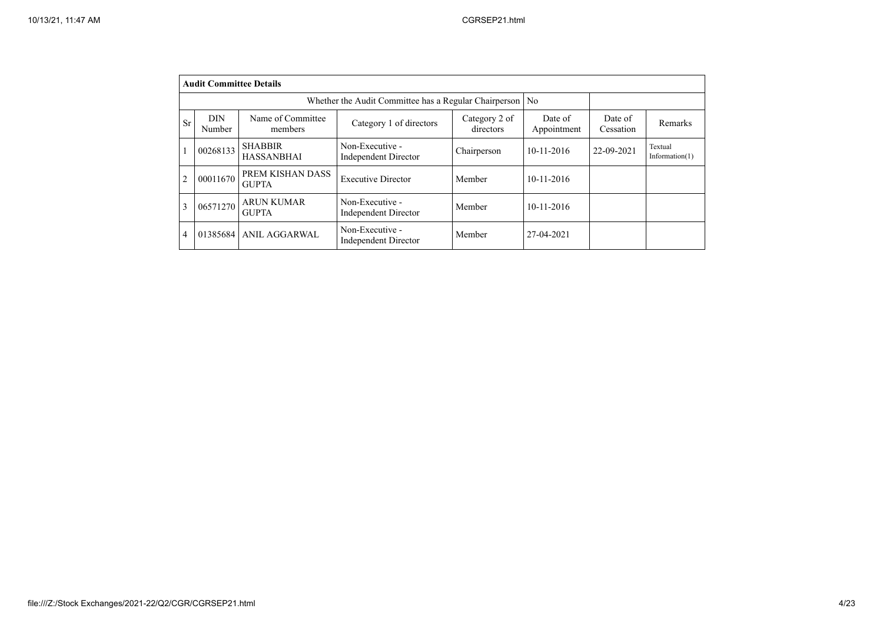|                | <b>Audit Committee Details</b>                             |                                     |                                                |                            |                        |                      |                              |  |  |  |  |  |
|----------------|------------------------------------------------------------|-------------------------------------|------------------------------------------------|----------------------------|------------------------|----------------------|------------------------------|--|--|--|--|--|
|                | Whether the Audit Committee has a Regular Chairperson   No |                                     |                                                |                            |                        |                      |                              |  |  |  |  |  |
| Sr             | <b>DIN</b><br>Number                                       | Name of Committee<br>members        | Category 1 of directors                        | Category 2 of<br>directors | Date of<br>Appointment | Date of<br>Cessation | Remarks                      |  |  |  |  |  |
|                | 00268133                                                   | <b>SHABBIR</b><br><b>HASSANBHAI</b> | Non-Executive -<br><b>Independent Director</b> | Chairperson                | $10 - 11 - 2016$       | 22-09-2021           | Textual<br>Information $(1)$ |  |  |  |  |  |
| $\overline{2}$ | 00011670                                                   | PREM KISHAN DASS<br><b>GUPTA</b>    | <b>Executive Director</b>                      | Member                     | $10-11-2016$           |                      |                              |  |  |  |  |  |
| 3              | 06571270                                                   | <b>ARUN KUMAR</b><br><b>GUPTA</b>   | Non-Executive -<br><b>Independent Director</b> | Member                     | 10-11-2016             |                      |                              |  |  |  |  |  |
| 4              | 01385684                                                   | <b>ANIL AGGARWAL</b>                | Non-Executive -<br><b>Independent Director</b> | Member                     | 27-04-2021             |                      |                              |  |  |  |  |  |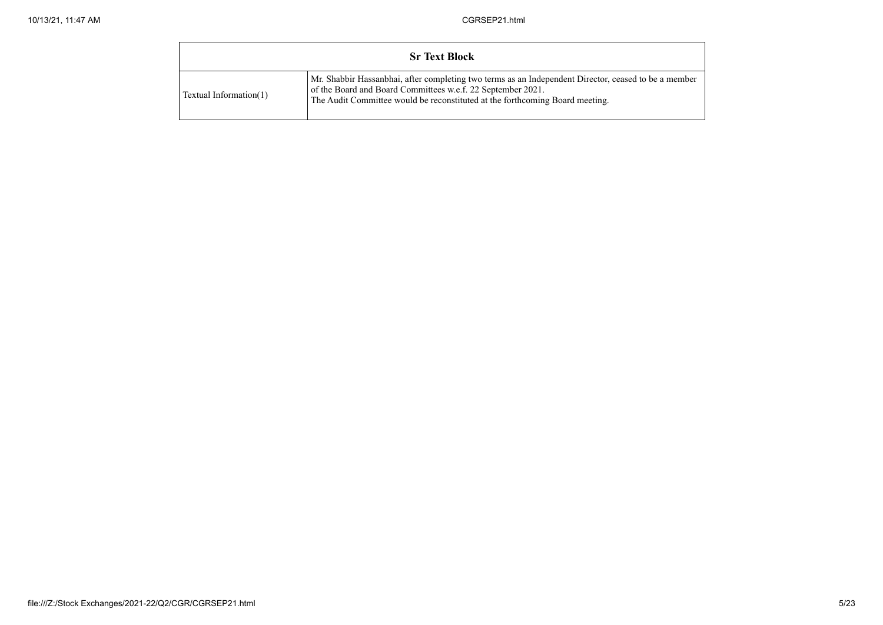|                        | <b>Sr Text Block</b>                                                                                                                                                                                                                                |
|------------------------|-----------------------------------------------------------------------------------------------------------------------------------------------------------------------------------------------------------------------------------------------------|
| Textual Information(1) | Mr. Shabbir Hassanbhai, after completing two terms as an Independent Director, ceased to be a member<br>of the Board and Board Committees w.e.f. 22 September 2021.<br>The Audit Committee would be reconstituted at the forthcoming Board meeting. |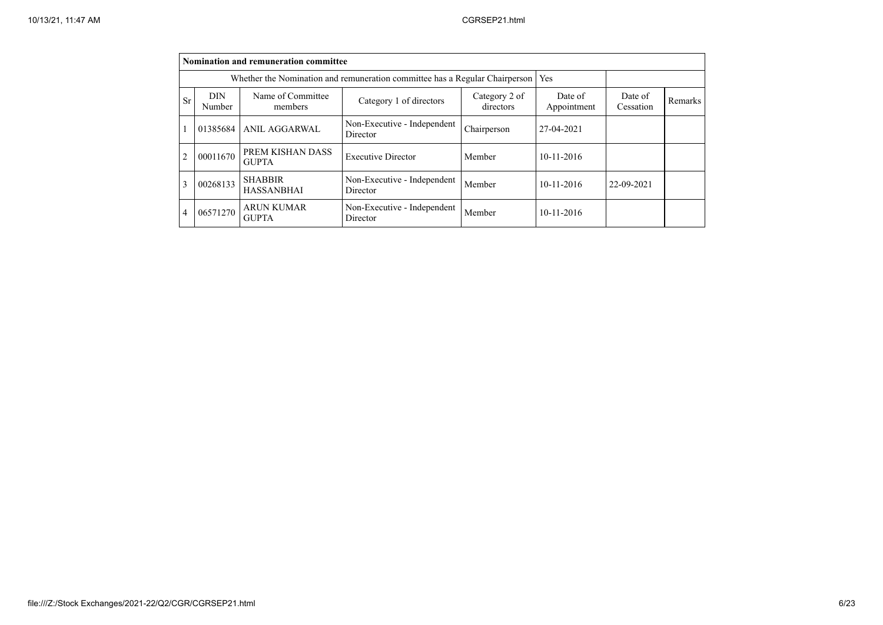|                | Nomination and remuneration committee                                                                                                   |                                     |                                         |             |            |                      |         |  |  |  |  |
|----------------|-----------------------------------------------------------------------------------------------------------------------------------------|-------------------------------------|-----------------------------------------|-------------|------------|----------------------|---------|--|--|--|--|
|                | Whether the Nomination and remuneration committee has a Regular Chairperson<br>Yes                                                      |                                     |                                         |             |            |                      |         |  |  |  |  |
| Sr             | Name of Committee<br><b>DIN</b><br>Category 2 of<br>Date of<br>Category 1 of directors<br>directors<br>Appointment<br>Number<br>members |                                     |                                         |             |            | Date of<br>Cessation | Remarks |  |  |  |  |
|                | 01385684                                                                                                                                | <b>ANIL AGGARWAL</b>                | Non-Executive - Independent<br>Director | Chairperson | 27-04-2021 |                      |         |  |  |  |  |
| $\overline{2}$ | 00011670                                                                                                                                | PREM KISHAN DASS<br><b>GUPTA</b>    | <b>Executive Director</b>               | Member      | 10-11-2016 |                      |         |  |  |  |  |
| 3              | 00268133                                                                                                                                | <b>SHABBIR</b><br><b>HASSANBHAI</b> | Non-Executive - Independent<br>Director | Member      | 10-11-2016 | 22-09-2021           |         |  |  |  |  |
| 4              | 06571270                                                                                                                                | <b>ARUN KUMAR</b><br><b>GUPTA</b>   | Non-Executive - Independent<br>Director | Member      | 10-11-2016 |                      |         |  |  |  |  |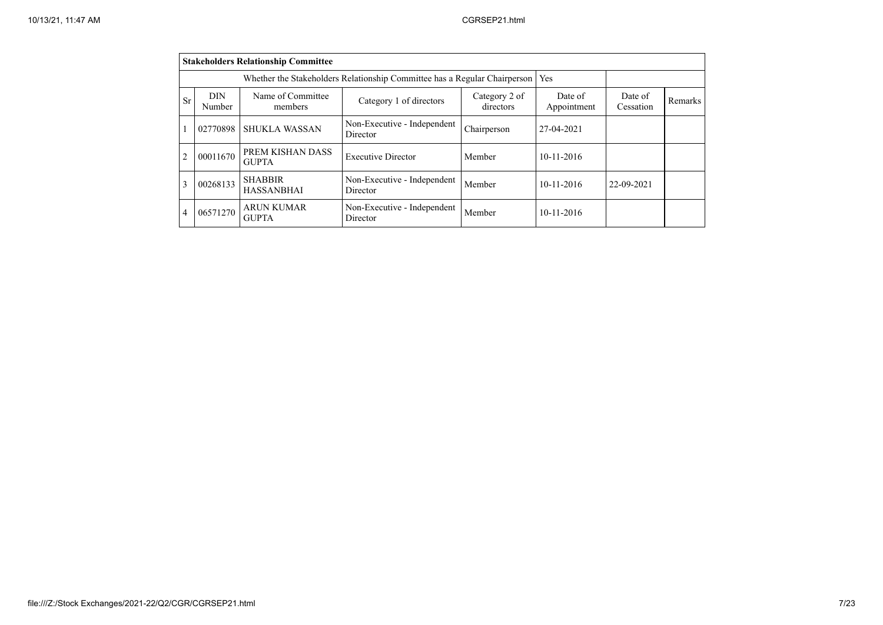|                | <b>Stakeholders Relationship Committee</b>                                       |                                     |                                         |                            |                        |                      |         |  |  |  |  |
|----------------|----------------------------------------------------------------------------------|-------------------------------------|-----------------------------------------|----------------------------|------------------------|----------------------|---------|--|--|--|--|
|                | Whether the Stakeholders Relationship Committee has a Regular Chairperson<br>Yes |                                     |                                         |                            |                        |                      |         |  |  |  |  |
| <b>Sr</b>      | <b>DIN</b><br>Number                                                             | Name of Committee<br>members        | Category 1 of directors                 | Category 2 of<br>directors | Date of<br>Appointment | Date of<br>Cessation | Remarks |  |  |  |  |
|                | 02770898                                                                         | <b>SHUKLA WASSAN</b>                | Non-Executive - Independent<br>Director | Chairperson                | 27-04-2021             |                      |         |  |  |  |  |
| $\overline{2}$ | 00011670                                                                         | PREM KISHAN DASS<br><b>GUPTA</b>    | <b>Executive Director</b>               | Member                     | $10-11-2016$           |                      |         |  |  |  |  |
| 3              | 00268133                                                                         | <b>SHABBIR</b><br><b>HASSANBHAI</b> | Non-Executive - Independent<br>Director | Member                     | $10 - 11 - 2016$       | 22-09-2021           |         |  |  |  |  |
|                | 06571270                                                                         | <b>ARUN KUMAR</b><br><b>GUPTA</b>   | Non-Executive - Independent<br>Director | Member                     | $10-11-2016$           |                      |         |  |  |  |  |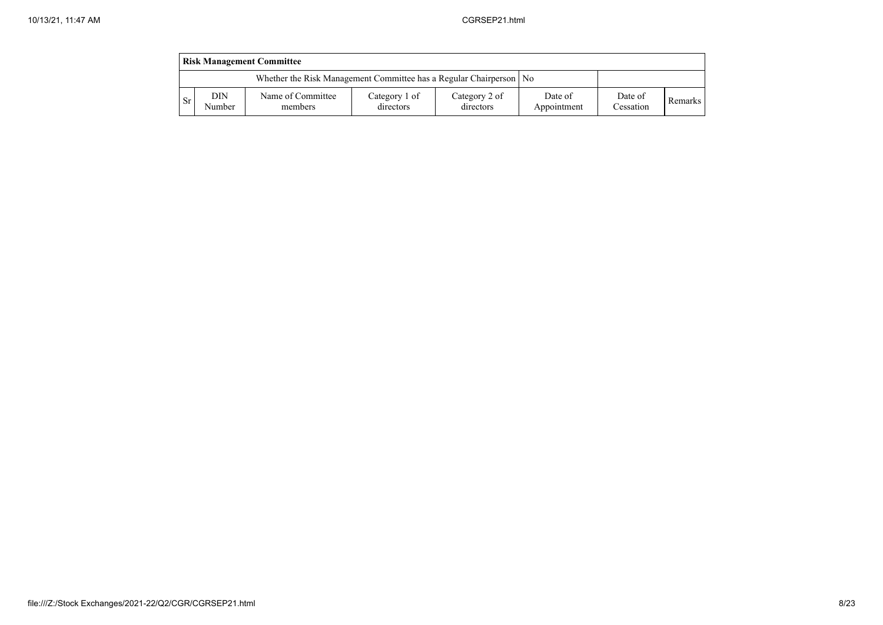|     | <b>Risk Management Committee</b>                                     |                              |                            |                            |                        |                      |         |  |  |  |  |  |
|-----|----------------------------------------------------------------------|------------------------------|----------------------------|----------------------------|------------------------|----------------------|---------|--|--|--|--|--|
|     | Whether the Risk Management Committee has a Regular Chairperson   No |                              |                            |                            |                        |                      |         |  |  |  |  |  |
| -Sr | DIN<br>Number                                                        | Name of Committee<br>members | Category 1 of<br>directors | Category 2 of<br>directors | Date of<br>Appointment | Date of<br>Cessation | Remarks |  |  |  |  |  |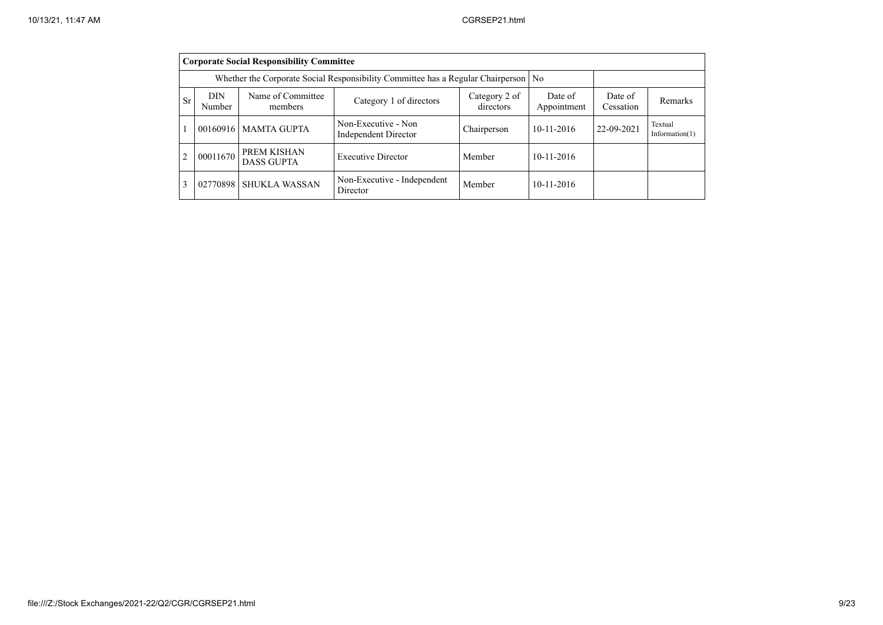|                | <b>Corporate Social Responsibility Committee</b>                                                                                        |                                  |                                             |             |                  |            |                              |  |  |  |  |
|----------------|-----------------------------------------------------------------------------------------------------------------------------------------|----------------------------------|---------------------------------------------|-------------|------------------|------------|------------------------------|--|--|--|--|
|                | Whether the Corporate Social Responsibility Committee has a Regular Chairperson   No                                                    |                                  |                                             |             |                  |            |                              |  |  |  |  |
| Sr             | <b>DIN</b><br>Name of Committee<br>Date of<br>Category 2 of<br>Category 1 of directors<br>directors<br>Appointment<br>Number<br>members |                                  |                                             |             |                  |            | Remarks                      |  |  |  |  |
|                |                                                                                                                                         | 00160916   MAMTA GUPTA           | Non-Executive - Non<br>Independent Director | Chairperson | $10 - 11 - 2016$ | 22-09-2021 | Textual<br>Information $(1)$ |  |  |  |  |
| $\overline{2}$ | 00011670                                                                                                                                | PREM KISHAN<br><b>DASS GUPTA</b> | <b>Executive Director</b>                   | Member      | $10-11-2016$     |            |                              |  |  |  |  |
| 3              | 02770898                                                                                                                                | <b>SHUKLA WASSAN</b>             | Non-Executive - Independent<br>Director     | Member      | $10-11-2016$     |            |                              |  |  |  |  |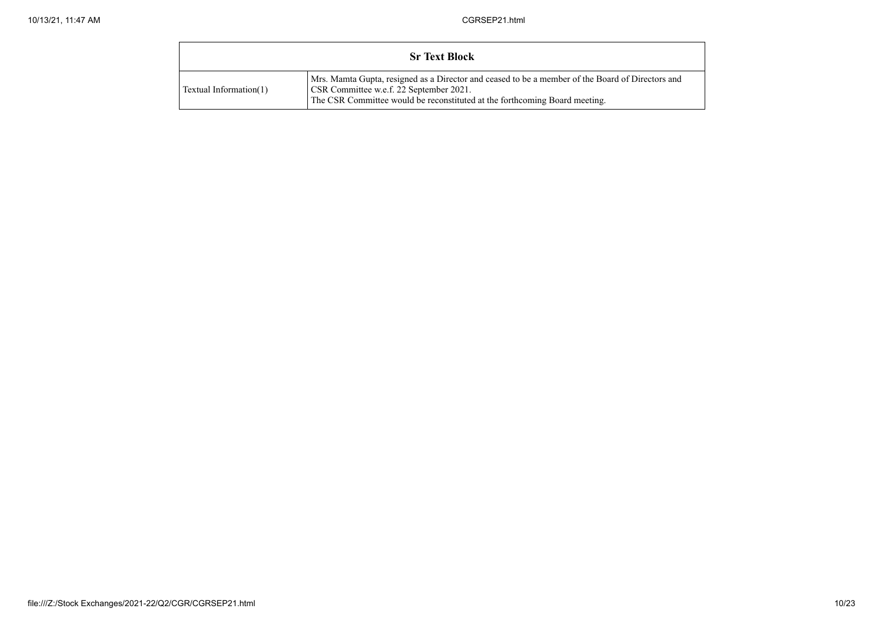|                        | <b>Sr Text Block</b>                                                                                                                                                                                                      |
|------------------------|---------------------------------------------------------------------------------------------------------------------------------------------------------------------------------------------------------------------------|
| Textual Information(1) | Mrs. Mamta Gupta, resigned as a Director and ceased to be a member of the Board of Directors and<br>CSR Committee w.e.f. 22 September 2021.<br>The CSR Committee would be reconstituted at the forthcoming Board meeting. |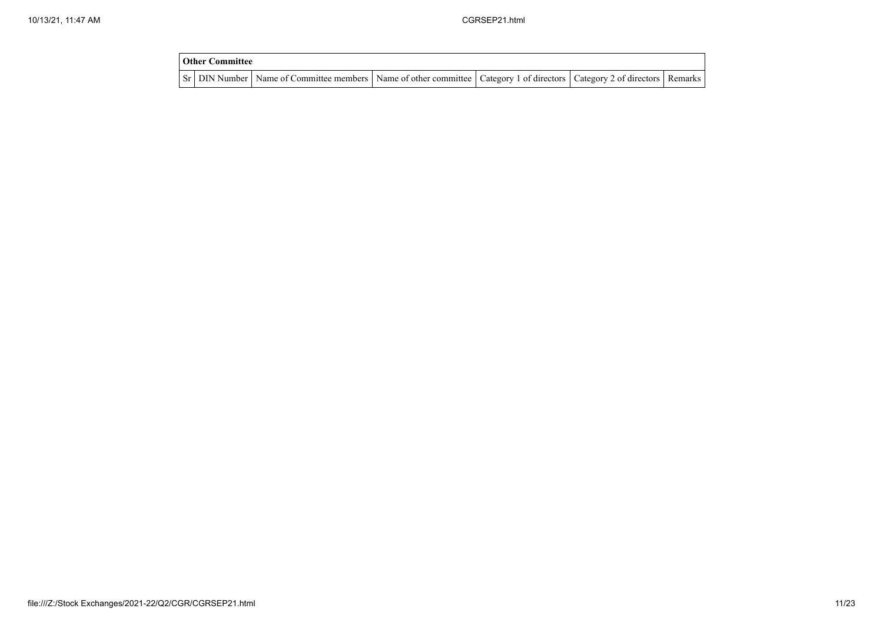| <b>Other Committee</b> |                                                                                                                                     |  |  |
|------------------------|-------------------------------------------------------------------------------------------------------------------------------------|--|--|
|                        | Sr   DIN Number   Name of Committee members   Name of other committee   Category 1 of directors   Category 2 of directors   Remarks |  |  |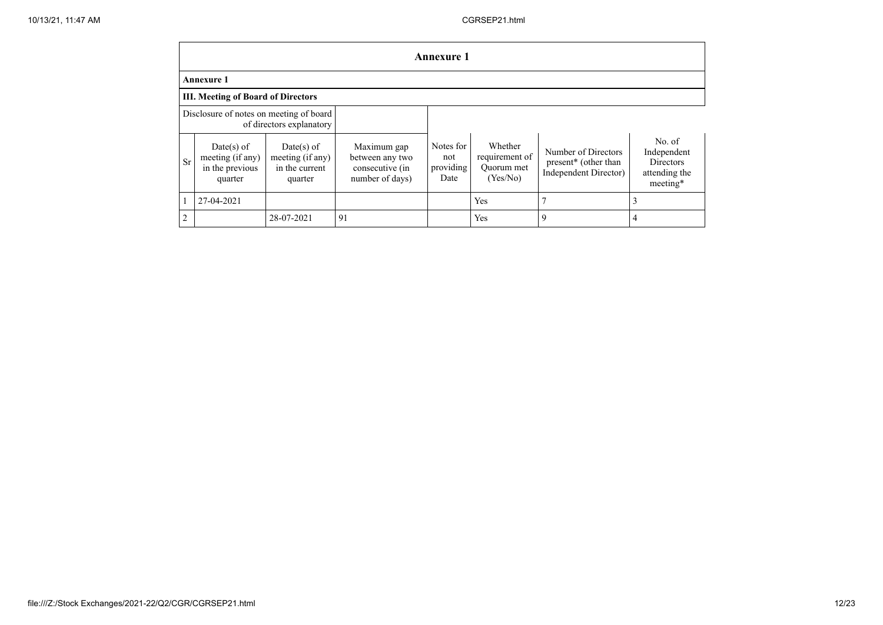|                | <b>Annexure 1</b>                                              |                                                               |                                                                      |                                       |                                                     |                                                                                  |                                                                        |
|----------------|----------------------------------------------------------------|---------------------------------------------------------------|----------------------------------------------------------------------|---------------------------------------|-----------------------------------------------------|----------------------------------------------------------------------------------|------------------------------------------------------------------------|
|                | <b>Annexure 1</b>                                              |                                                               |                                                                      |                                       |                                                     |                                                                                  |                                                                        |
|                | <b>III. Meeting of Board of Directors</b>                      |                                                               |                                                                      |                                       |                                                     |                                                                                  |                                                                        |
|                | Disclosure of notes on meeting of board                        | of directors explanatory                                      |                                                                      |                                       |                                                     |                                                                                  |                                                                        |
| Sr             | $Date(s)$ of<br>meeting (if any)<br>in the previous<br>quarter | $Date(s)$ of<br>meeting (if any)<br>in the current<br>quarter | Maximum gap<br>between any two<br>consecutive (in<br>number of days) | Notes for<br>not<br>providing<br>Date | Whether<br>requirement of<br>Ouorum met<br>(Yes/No) | Number of Directors<br>present <sup>*</sup> (other than<br>Independent Director) | No. of<br>Independent<br><b>Directors</b><br>attending the<br>meeting* |
|                | 27-04-2021                                                     |                                                               |                                                                      |                                       | Yes                                                 |                                                                                  | 3                                                                      |
| $\overline{2}$ |                                                                | 28-07-2021                                                    | 91                                                                   |                                       | Yes                                                 | 9                                                                                | 4                                                                      |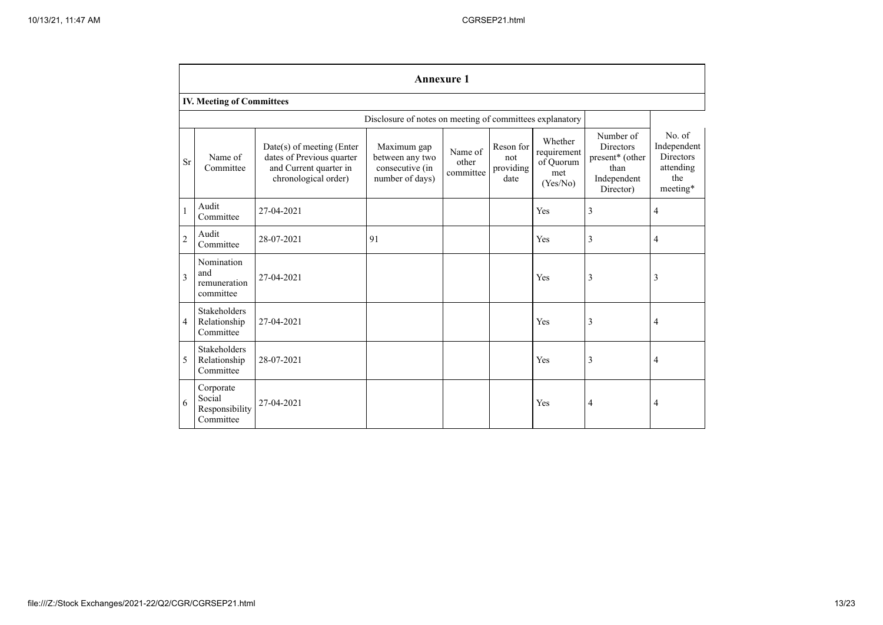|                | <b>Annexure 1</b>                                  |                                                                                                          |                                                                      |                               |                                       |                                                        |                                                                                      |                                                                    |
|----------------|----------------------------------------------------|----------------------------------------------------------------------------------------------------------|----------------------------------------------------------------------|-------------------------------|---------------------------------------|--------------------------------------------------------|--------------------------------------------------------------------------------------|--------------------------------------------------------------------|
|                | <b>IV. Meeting of Committees</b>                   |                                                                                                          |                                                                      |                               |                                       |                                                        |                                                                                      |                                                                    |
|                |                                                    |                                                                                                          | Disclosure of notes on meeting of committees explanatory             |                               |                                       |                                                        |                                                                                      |                                                                    |
| Sr             | Name of<br>Committee                               | Date(s) of meeting (Enter<br>dates of Previous quarter<br>and Current quarter in<br>chronological order) | Maximum gap<br>between any two<br>consecutive (in<br>number of days) | Name of<br>other<br>committee | Reson for<br>not<br>providing<br>date | Whether<br>requirement<br>of Quorum<br>met<br>(Yes/No) | Number of<br><b>Directors</b><br>present* (other<br>than<br>Independent<br>Director) | No. of<br>Independent<br>Directors<br>attending<br>the<br>meeting* |
|                | Audit<br>Committee                                 | 27-04-2021                                                                                               |                                                                      |                               |                                       | Yes                                                    | 3                                                                                    | 4                                                                  |
| $\overline{2}$ | Audit<br>Committee                                 | 28-07-2021                                                                                               | 91                                                                   |                               |                                       | Yes                                                    | 3                                                                                    | 4                                                                  |
| 3              | Nomination<br>and<br>remuneration<br>committee     | 27-04-2021                                                                                               |                                                                      |                               |                                       | Yes                                                    | 3                                                                                    | 3                                                                  |
| $\overline{4}$ | <b>Stakeholders</b><br>Relationship<br>Committee   | 27-04-2021                                                                                               |                                                                      |                               |                                       | Yes                                                    | 3                                                                                    | $\overline{4}$                                                     |
| 5              | Stakeholders<br>Relationship<br>Committee          | 28-07-2021                                                                                               |                                                                      |                               |                                       | Yes                                                    | 3                                                                                    | $\overline{4}$                                                     |
| 6              | Corporate<br>Social<br>Responsibility<br>Committee | 27-04-2021                                                                                               |                                                                      |                               |                                       | Yes                                                    | 4                                                                                    | $\overline{4}$                                                     |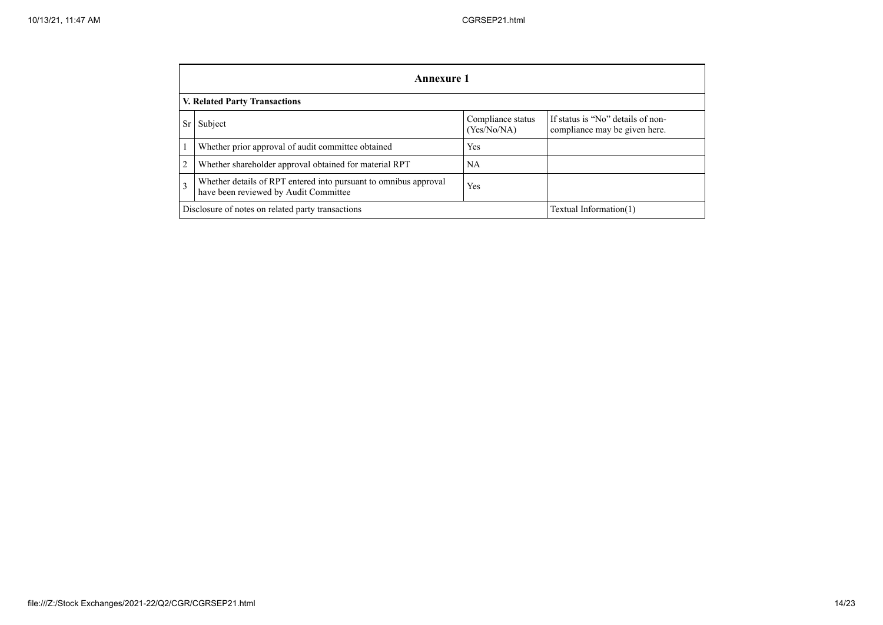|                                                                                                                       | Annexure 1                                                                  |                                  |                                                                    |  |  |  |
|-----------------------------------------------------------------------------------------------------------------------|-----------------------------------------------------------------------------|----------------------------------|--------------------------------------------------------------------|--|--|--|
|                                                                                                                       | <b>V. Related Party Transactions</b>                                        |                                  |                                                                    |  |  |  |
| Sr                                                                                                                    | Subject                                                                     | Compliance status<br>(Yes/No/NA) | If status is "No" details of non-<br>compliance may be given here. |  |  |  |
|                                                                                                                       | Whether prior approval of audit committee obtained                          | <b>Yes</b>                       |                                                                    |  |  |  |
| $\overline{2}$                                                                                                        | Whether shareholder approval obtained for material RPT                      | <b>NA</b>                        |                                                                    |  |  |  |
| Whether details of RPT entered into pursuant to omnibus approval<br>3<br>Yes<br>have been reviewed by Audit Committee |                                                                             |                                  |                                                                    |  |  |  |
|                                                                                                                       | Disclosure of notes on related party transactions<br>Textual Information(1) |                                  |                                                                    |  |  |  |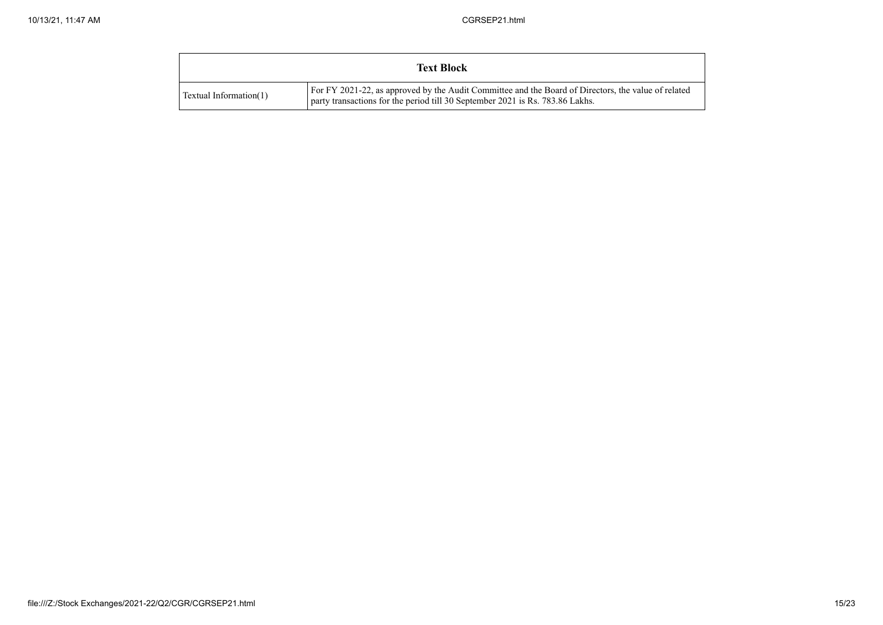|                        | <b>Text Block</b>                                                                                                                                                                    |
|------------------------|--------------------------------------------------------------------------------------------------------------------------------------------------------------------------------------|
| Textual Information(1) | For FY 2021-22, as approved by the Audit Committee and the Board of Directors, the value of related<br>party transactions for the period till 30 September 2021 is Rs. 783.86 Lakhs. |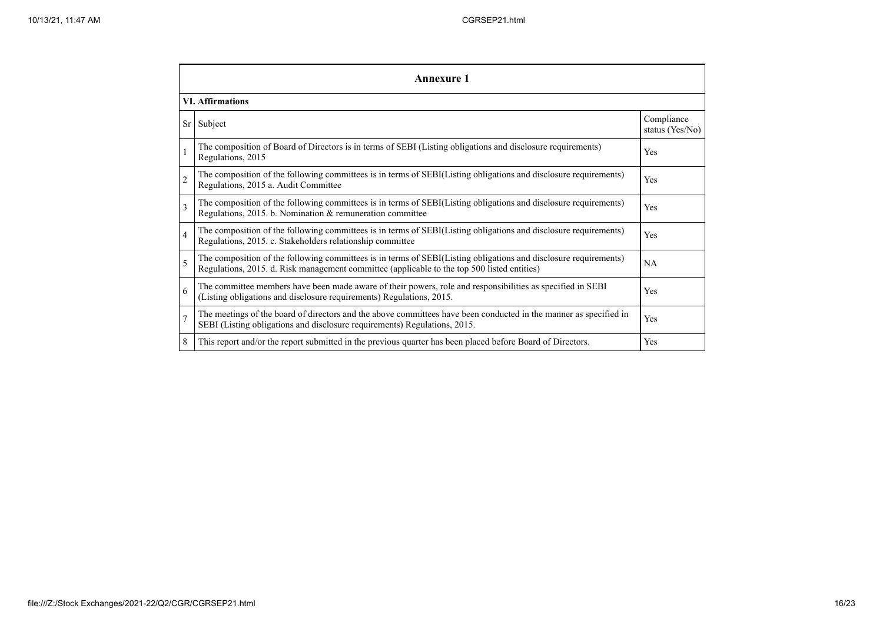|                | <b>Annexure 1</b>                                                                                                                                                                                               |                               |  |  |  |
|----------------|-----------------------------------------------------------------------------------------------------------------------------------------------------------------------------------------------------------------|-------------------------------|--|--|--|
|                | <b>VI. Affirmations</b>                                                                                                                                                                                         |                               |  |  |  |
| Sr             | Subject                                                                                                                                                                                                         | Compliance<br>status (Yes/No) |  |  |  |
| $\mathbf{1}$   | The composition of Board of Directors is in terms of SEBI (Listing obligations and disclosure requirements)<br>Regulations, 2015                                                                                | Yes                           |  |  |  |
| $\overline{c}$ | The composition of the following committees is in terms of SEBI(Listing obligations and disclosure requirements)<br>Regulations, 2015 a. Audit Committee                                                        |                               |  |  |  |
| $\overline{3}$ | The composition of the following committees is in terms of SEBI(Listing obligations and disclosure requirements)<br>Regulations, 2015. b. Nomination & remuneration committee                                   | Yes                           |  |  |  |
| $\overline{4}$ | The composition of the following committees is in terms of SEBI(Listing obligations and disclosure requirements)<br>Regulations, 2015. c. Stakeholders relationship committee                                   |                               |  |  |  |
| 5              | The composition of the following committees is in terms of SEBI(Listing obligations and disclosure requirements)<br>Regulations, 2015. d. Risk management committee (applicable to the top 500 listed entities) | NA                            |  |  |  |
| 6              | The committee members have been made aware of their powers, role and responsibilities as specified in SEBI<br>(Listing obligations and disclosure requirements) Regulations, 2015.                              | Yes                           |  |  |  |
| $\overline{7}$ | The meetings of the board of directors and the above committees have been conducted in the manner as specified in<br>SEBI (Listing obligations and disclosure requirements) Regulations, 2015.                  | Yes                           |  |  |  |
| 8              | This report and/or the report submitted in the previous quarter has been placed before Board of Directors.                                                                                                      | Yes                           |  |  |  |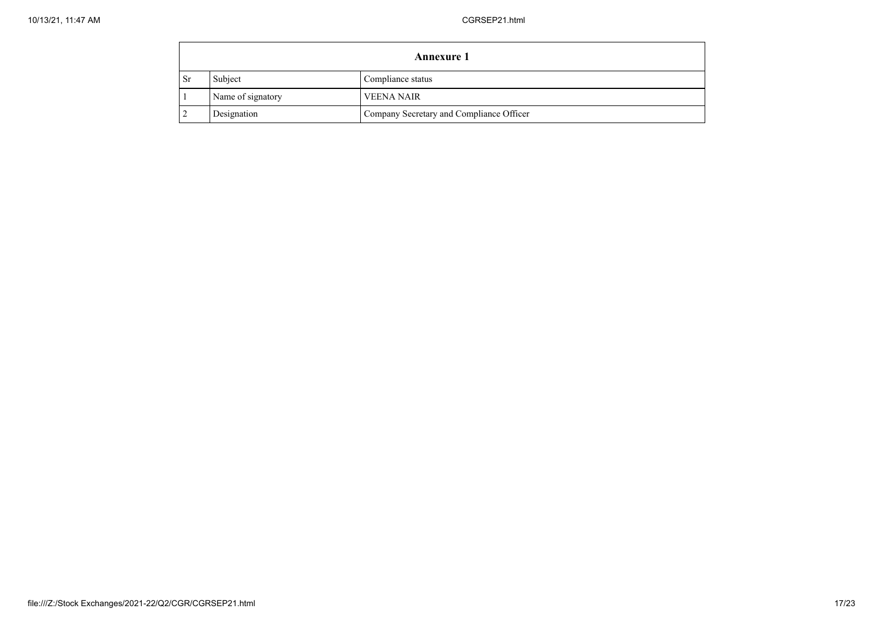|               | <b>Annexure 1</b> |                                          |  |  |  |
|---------------|-------------------|------------------------------------------|--|--|--|
| <sub>Sr</sub> | Subject           | Compliance status                        |  |  |  |
|               | Name of signatory | <b>VEENA NAIR</b>                        |  |  |  |
|               | Designation       | Company Secretary and Compliance Officer |  |  |  |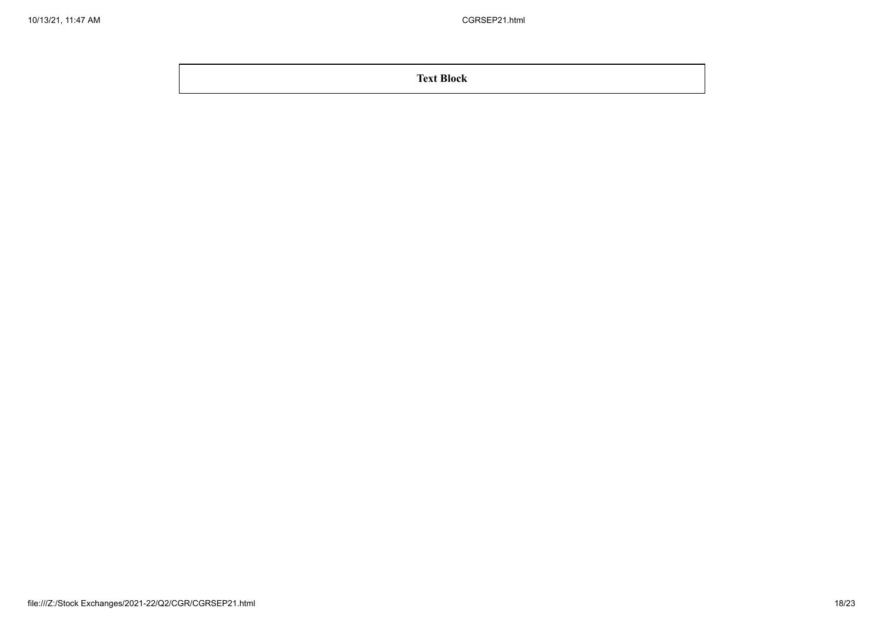**Text Block**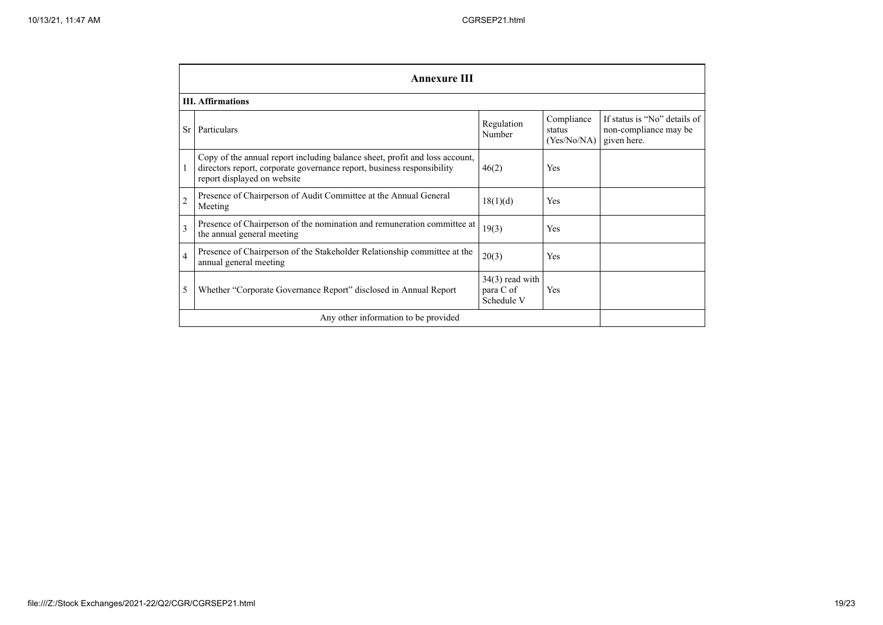|                | <b>Annexure III</b>                                                                                                                                                                  |                                              |                                     |                                                                      |  |
|----------------|--------------------------------------------------------------------------------------------------------------------------------------------------------------------------------------|----------------------------------------------|-------------------------------------|----------------------------------------------------------------------|--|
|                | <b>III.</b> Affirmations                                                                                                                                                             |                                              |                                     |                                                                      |  |
| Sr             | Particulars                                                                                                                                                                          | Regulation<br>Number                         | Compliance<br>status<br>(Yes/No/NA) | If status is "No" details of<br>non-compliance may be<br>given here. |  |
|                | Copy of the annual report including balance sheet, profit and loss account,<br>directors report, corporate governance report, business responsibility<br>report displayed on website | 46(2)                                        | <b>Yes</b>                          |                                                                      |  |
| $\overline{2}$ | Presence of Chairperson of Audit Committee at the Annual General<br>Meeting                                                                                                          | 18(1)(d)                                     | Yes                                 |                                                                      |  |
| 3              | Presence of Chairperson of the nomination and remuneration committee at<br>the annual general meeting                                                                                | 19(3)                                        | Yes                                 |                                                                      |  |
| $\overline{4}$ | Presence of Chairperson of the Stakeholder Relationship committee at the<br>annual general meeting                                                                                   | 20(3)                                        | Yes                                 |                                                                      |  |
| 5              | Whether "Corporate Governance Report" disclosed in Annual Report                                                                                                                     | $34(3)$ read with<br>para C of<br>Schedule V | Yes                                 |                                                                      |  |
|                | Any other information to be provided                                                                                                                                                 |                                              |                                     |                                                                      |  |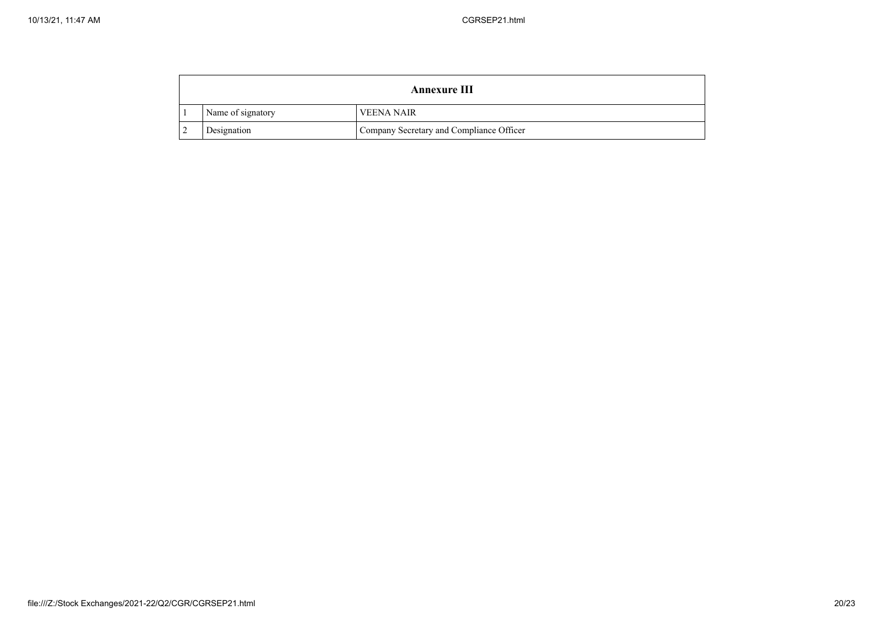| <b>Annexure III</b> |                   |                                          |
|---------------------|-------------------|------------------------------------------|
|                     | Name of signatory | <b>VEENA NAIR</b>                        |
|                     | Designation       | Company Secretary and Compliance Officer |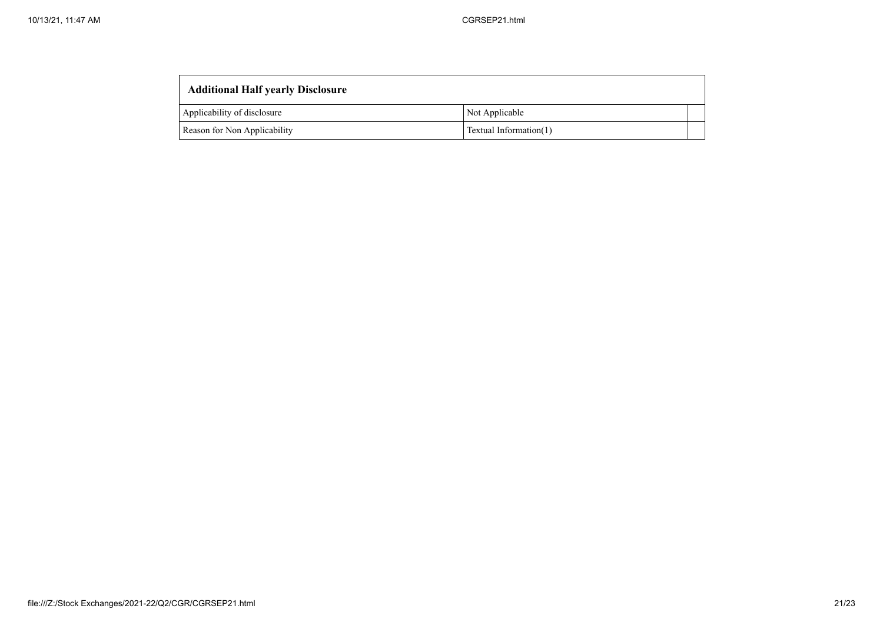| <b>Additional Half yearly Disclosure</b> |                        |  |  |
|------------------------------------------|------------------------|--|--|
| Applicability of disclosure              | Not Applicable         |  |  |
| Reason for Non Applicability             | Textual Information(1) |  |  |